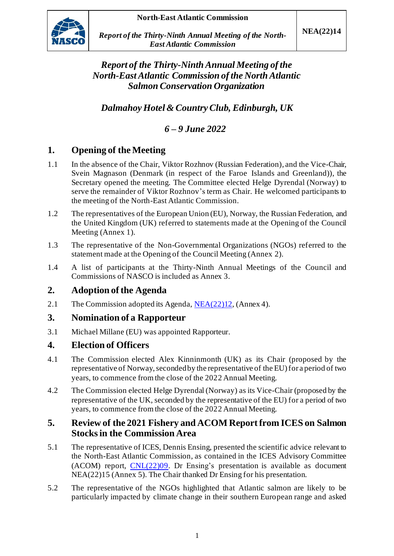

*Report of the Thirty-Ninth Annual Meeting of the North-East Atlantic Commission*

*Report of the Thirty-NinthAnnual Meeting of the North-East Atlantic Commission of the NorthAtlantic Salmon Conservation Organization*

*Dalmahoy Hotel & Country Club, Edinburgh, UK*

*6 – 9 June 2022*

# **1. Opening of the Meeting**

- 1.1 In the absence of the Chair, Viktor Rozhnov (Russian Federation), and the Vice-Chair, Svein Magnason (Denmark (in respect of the Faroe Islands and Greenland)), the Secretary opened the meeting. The Committee elected Helge Dyrendal (Norway) to serve the remainder of Viktor Rozhnov's term as Chair. He welcomed participants to the meeting of the North-East Atlantic Commission.
- 1.2 The representatives of the European Union (EU), Norway, the Russian Federation, and the United Kingdom (UK) referred to statements made at the Opening of the Council Meeting (Annex 1).
- 1.3 The representative of the Non-Governmental Organizations (NGOs) referred to the statement made at the Opening of the Council Meeting (Annex 2).
- 1.4 A list of participants at the Thirty-Ninth Annual Meetings of the Council and Commissions of NASCO is included as Annex 3.

## **2. Adoption of the Agenda**

2.1 The Commission adopted its Agenda[, NEA\(22\)12](https://nasco.int/wp-content/uploads/2022/06/NEA2212_Agenda-1.pdf), (Annex 4).

#### **3. Nomination of a Rapporteur**

3.1 Michael Millane (EU) was appointed Rapporteur.

#### **4. Election of Officers**

- 4.1 The Commission elected Alex Kinninmonth (UK) as its Chair (proposed by the representative of Norway, seconded by the representative of the EU) for a period of two years, to commence from the close of the 2022 Annual Meeting.
- 4.2 The Commission elected Helge Dyrendal (Norway) as its Vice-Chair (proposed by the representative of the UK, seconded by the representative of the EU) for a period of two years, to commence from the close of the 2022 Annual Meeting.

## **5. Review of the 2021 Fishery and ACOM Report from ICES on Salmon Stocks in the Commission Area**

- 5.1 The representative of ICES, Dennis Ensing, presented the scientific advice relevant to the North-East Atlantic Commission, as contained in the ICES Advisory Committee (ACOM) report, [CNL\(22\)09.](https://nasco.int/wp-content/uploads/2022/05/CNL2209_ICES-Advice.pdf) Dr Ensing's presentation is available as document NEA(22)15 (Annex 5). The Chair thanked Dr Ensing for his presentation.
- 5.2 The representative of the NGOs highlighted that Atlantic salmon are likely to be particularly impacted by climate change in their southern European range and asked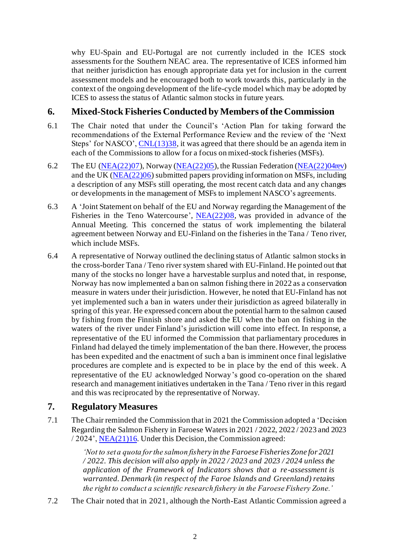why EU-Spain and EU-Portugal are not currently included in the ICES stock assessments for the Southern NEAC area. The representative of ICES informed him that neither jurisdiction has enough appropriate data yet for inclusion in the current assessment models and he encouraged both to work towards this, particularly in the context of the ongoing development of the life-cycle model which may be adopted by ICES to assess the status of Atlantic salmon stocks in future years.

## **6. Mixed-Stock Fisheries Conducted by Members of the Commission**

- 6.1 The Chair noted that under the Council's 'Action Plan for taking forward the recommendations of the External Performance Review and the review of the 'Next Steps' for NASCO', [CNL\(13\)38,](https://nasco.int/wp-content/uploads/2020/02/CNL_13_38.pdf) it was agreed that there should be an agenda item in each of the Commissions to allow for a focus on mixed-stock fisheries (MSFs).
- 6.2 The EU [\(NEA\(22\)07](https://nasco.int/wp-content/uploads/2022/06/NEA2207_Mixed-Stock-Fisheries-Tabled-by-the-European-Union.pdf)), Norway [\(NEA\(22\)05](https://nasco.int/wp-content/uploads/2022/04/NEA2205_Mixed-Stock-Fisheries-Tabled-by-Norway.pdf)), the Russian Federation [\(NEA\(22\)04rev\)](https://nasco.int/wp-content/uploads/2022/04/NEA2204rev_Mixed-Stock-Fisheries-Tabled-by-the-Russian-Federation.pdf) and the UK ( $NEA(22)06$ ) submitted papers providing information on MSFs, including a description of any MSFs still operating, the most recent catch data and any changes or developments in the management of MSFs to implement NASCO's agreements.
- 6.3 A 'Joint Statement on behalf of the EU and Norway regarding the Management of the Fisheries in the Teno Watercourse', [NEA\(22\)08,](https://nasco.int/wp-content/uploads/2022/05/NEA2208_Joint-Statement-on-behalf-of-the-EU-and-Norway-regarding-the-Management-of-the-Fisheries-in-the-Teno-Watercourse.pdf) was provided in advance of the Annual Meeting. This concerned the status of work implementing the bilateral agreement between Norway and EU-Finland on the fisheries in the Tana / Teno river, which include MSFs.
- 6.4 A representative of Norway outlined the declining status of Atlantic salmon stocks in the cross-border Tana / Teno river system shared with EU-Finland. He pointed out that many of the stocks no longer have a harvestable surplus and noted that, in response, Norway has now implemented a ban on salmon fishing there in 2022 as a conservation measure in waters under their jurisdiction. However, he noted that EU-Finland has not yet implemented such a ban in waters under their jurisdiction as agreed bilaterally in spring of this year. He expressed concern about the potential harm to the salmon caused by fishing from the Finnish shore and asked the EU when the ban on fishing in the waters of the river under Finland's jurisdiction will come into effect. In response, a representative of the EU informed the Commission that parliamentary procedures in Finland had delayed the timely implementation of the ban there. However, the process has been expedited and the enactment of such a ban is imminent once final legislative procedures are complete and is expected to be in place by the end of this week. A representative of the EU acknowledged Norway's good co-operation on the shared research and management initiatives undertaken in the Tana / Teno river in this regard and this was reciprocated by the representative of Norway.

# **7. Regulatory Measures**

7.1 The Chair reminded the Commission that in 2021 the Commission adopted a 'Decision Regarding the Salmon Fishery in Faroese Waters in 2021 / 2022, 2022 / 2023 and 2023 / 2024'[, NEA\(21\)16](https://nasco.int/wp-content/uploads/2021/06/NEA2116_Decision-regarding-the-salmon-fishery-in-Faroese-waters-1.pdf). Under this Decision, the Commission agreed:

> *'Not to set a quota for the salmon fishery in the Faroese Fisheries Zone for 2021 / 2022. This decision will also apply in 2022 / 2023 and 2023 / 2024 unless the application of the Framework of Indicators shows that a re-assessment is warranted. Denmark (in respect of the Faroe Islands and Greenland) retains the right to conduct a scientific research fishery in the Faroese Fishery Zone.'*

7.2 The Chair noted that in 2021, although the North-East Atlantic Commission agreed a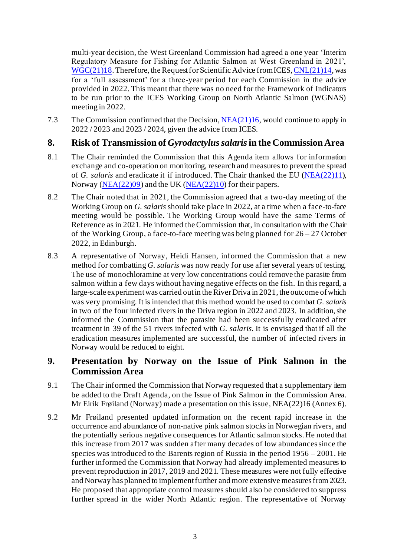multi-year decision, the West Greenland Commission had agreed a one year 'Interim Regulatory Measure for Fishing for Atlantic Salmon at West Greenland in 2021', [WGC\(21\)18.](https://nasco.int/wp-content/uploads/2021/06/WGC2118_Interim-Regulatory-Measure-for-Fishing-for-Atlantic-Salmon-at-West-Greenland-in-2021-1.pdf) Therefore, the Request for Scientific Advice from ICES[, CNL\(21\)14](https://nasco.int/wp-content/uploads/2021/08/CNL2114_Request-for-Scientific-Advice-from-ICES.pdf), was for a 'full assessment' for a three-year period for each Commission in the advice provided in 2022. This meant that there was no need for the Framework of Indicators to be run prior to the ICES Working Group on North Atlantic Salmon (WGNAS) meeting in 2022.

7.3 The Commission confirmed that the Decision[, NEA\(21\)16](https://nasco.int/wp-content/uploads/2021/06/NEA2116_Decision-regarding-the-salmon-fishery-in-Faroese-waters-1.pdf), would continue to apply in 2022 / 2023 and 2023 / 2024, given the advice from ICES.

#### **8. Risk of Transmission of** *Gyrodactylus salaris***in the Commission Area**

- 8.1 The Chair reminded the Commission that this Agenda item allows for information exchange and co-operation on monitoring, research and measures to prevent the spread of *G. salaris* and eradicate it if introduced. The Chair thanked the EU [\(NEA\(22\)11\)](https://nasco.int/wp-content/uploads/2022/06/NEA2211_Risk-of-Transmission-of-G.salaris-in-the-North-East-Atlantic-Commission-Area-Tabled-by-the-European-Union.pdf), Norway [\(NEA\(22\)09](https://nasco.int/wp-content/uploads/2022/05/NEA2209_G.-salaris-in-Norwegian-Rivers.pdf)) and the UK [\(NEA\(22\)10\)](https://nasco.int/wp-content/uploads/2022/06/NEA2210_G.salaris-Road-Map-Update-Tabled-by-UK-England-and-Wales.pdf) for their papers.
- 8.2 The Chair noted that in 2021, the Commission agreed that a two-day meeting of the Working Group on *G. salaris* should take place in 2022, at a time when a face-to-face meeting would be possible. The Working Group would have the same Terms of Reference as in 2021. He informed the Commission that, in consultation with the Chair of the Working Group, a face-to-face meeting was being planned for 26 – 27 October 2022, in Edinburgh.
- 8.3 A representative of Norway, Heidi Hansen, informed the Commission that a new method for combatting *G. salaris* was now ready for use after several years of testing. The use of monochloramine at very low concentrations could remove the parasite from salmon within a few days without having negative effects on the fish. In this regard, a large-scale experiment was carried out in the River Driva in 2021, the outcome of which was very promising. It is intended that this method would be used to combat *G. salaris* in two of the four infected rivers in the Driva region in 2022 and 2023. In addition, she informed the Commission that the parasite had been successfully eradicated after treatment in 39 of the 51 rivers infected with *G. salaris.* It is envisaged that if all the eradication measures implemented are successful, the number of infected rivers in Norway would be reduced to eight.

## **9. Presentation by Norway on the Issue of Pink Salmon in the Commission Area**

- 9.1 The Chair informed the Commission that Norway requested that a supplementary item be added to the Draft Agenda, on the Issue of Pink Salmon in the Commission Area. Mr Eirik Frøiland (Norway) made a presentation on this issue, NEA(22)16 (Annex 6).
- 9.2 Mr Frøiland presented updated information on the recent rapid increase in the occurrence and abundance of non-native pink salmon stocks in Norwegian rivers, and the potentially serious negative consequences for Atlantic salmon stocks. He noted that this increase from 2017 was sudden after many decades of low abundances since the species was introduced to the Barents region of Russia in the period 1956 – 2001. He further informed the Commission that Norway had already implemented measures to prevent reproduction in 2017, 2019 and 2021. These measures were not fully effective and Norway has planned to implement further and more extensive measures from 2023. He proposed that appropriate control measures should also be considered to suppress further spread in the wider North Atlantic region. The representative of Norway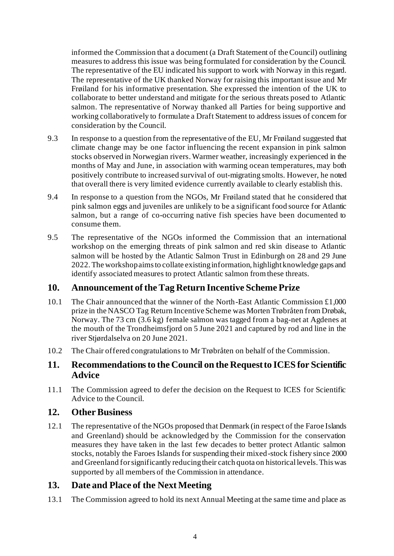informed the Commission that a document (a Draft Statement of the Council) outlining measures to address this issue was being formulated for consideration by the Council. The representative of the EU indicated his support to work with Norway in this regard. The representative of the UK thanked Norway for raising this important issue and Mr Frøiland for his informative presentation. She expressed the intention of the UK to collaborate to better understand and mitigate for the serious threats posed to Atlantic salmon. The representative of Norway thanked all Parties for being supportive and working collaboratively to formulate a Draft Statement to address issues of concern for consideration by the Council.

- 9.3 In response to a question from the representative of the EU, Mr Frøiland suggested that climate change may be one factor influencing the recent expansion in pink salmon stocks observed in Norwegian rivers. Warmer weather, increasingly experienced in the months of May and June, in association with warming ocean temperatures, may both positively contribute to increased survival of out-migrating smolts. However, he noted that overall there is very limited evidence currently available to clearly establish this.
- 9.4 In response to a question from the NGOs, Mr Frøiland stated that he considered that pink salmon eggs and juveniles are unlikely to be a significant food source for Atlantic salmon, but a range of co-occurring native fish species have been documented to consume them.
- 9.5 The representative of the NGOs informed the Commission that an international workshop on the emerging threats of pink salmon and red skin disease to Atlantic salmon will be hosted by the Atlantic Salmon Trust in Edinburgh on 28 and 29 June 2022.The workshop aims to collate existing information, highlight knowledge gaps and identify associated measures to protect Atlantic salmon from these threats.

## **10. Announcement of the Tag Return Incentive Scheme Prize**

- 10.1 The Chair announced that the winner of the North-East Atlantic Commission £1,000 prize in the NASCO Tag Return Incentive Scheme was Morten Trøbråten from Drøbak, Norway. The 73 cm (3.6 kg) female salmon was tagged from a bag-net at Agdenes at the mouth of the Trondheimsfjord on 5 June 2021 and captured by rod and line in the river Stjørdalselva on 20 June 2021.
- 10.2 The Chair offered congratulations to Mr Trøbråten on behalf of the Commission.

## **11. Recommendations to the Council on the Request to ICES for Scientific Advice**

11.1 The Commission agreed to defer the decision on the Request to ICES for Scientific Advice to the Council.

#### **12. Other Business**

12.1 The representative of the NGOs proposed that Denmark (in respect of the Faroe Islands and Greenland) should be acknowledged by the Commission for the conservation measures they have taken in the last few decades to better protect Atlantic salmon stocks, notably the Faroes Islands for suspending their mixed-stock fishery since 2000 and Greenland for significantly reducing their catch quota on historical levels. This was supported by all members of the Commission in attendance.

## **13. Date and Place of the Next Meeting**

13.1 The Commission agreed to hold its next Annual Meeting at the same time and place as